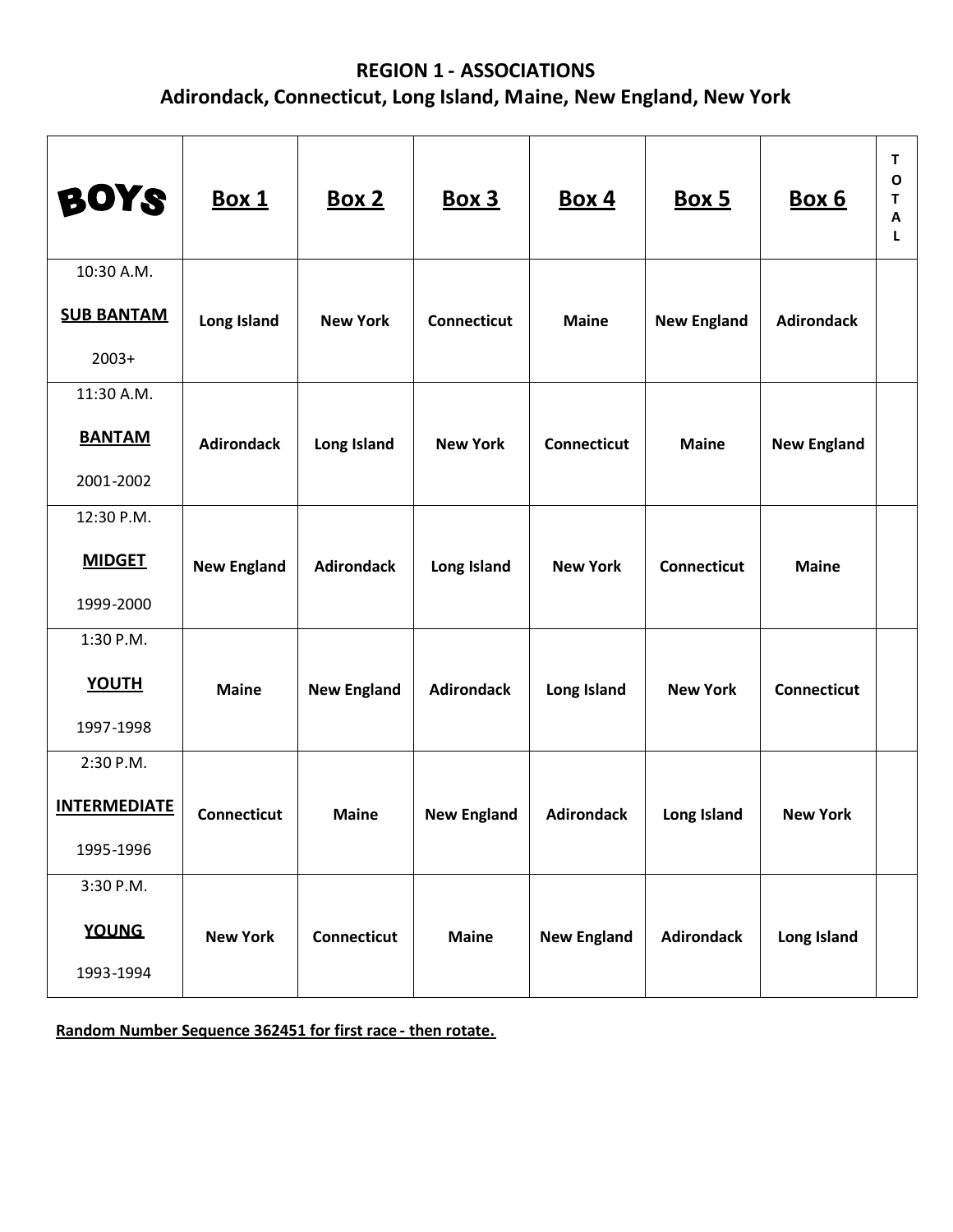## **REGION 1 - ASSOCIATIONS Adirondack, Connecticut, Long Island, Maine, New England, New York**

| <b>BOYS</b>                                   | <u>Box 1</u>       | <u>Box 2</u>       | <u>Box 3</u>       | <b>Box 4</b>       | <u>Box 5</u>       | <u>Box 6</u>       | т<br>O<br>т<br>A<br>L |
|-----------------------------------------------|--------------------|--------------------|--------------------|--------------------|--------------------|--------------------|-----------------------|
| 10:30 A.M.<br><b>SUB BANTAM</b><br>$2003+$    | Long Island        | <b>New York</b>    | <b>Connecticut</b> | <b>Maine</b>       | <b>New England</b> | <b>Adirondack</b>  |                       |
| 11:30 A.M.<br><b>BANTAM</b><br>2001-2002      | <b>Adirondack</b>  | Long Island        | <b>New York</b>    | <b>Connecticut</b> | <b>Maine</b>       | <b>New England</b> |                       |
| 12:30 P.M.<br><b>MIDGET</b><br>1999-2000      | <b>New England</b> | <b>Adirondack</b>  | Long Island        | <b>New York</b>    | <b>Connecticut</b> | <b>Maine</b>       |                       |
| 1:30 P.M.<br><b>YOUTH</b><br>1997-1998        | <b>Maine</b>       | <b>New England</b> | <b>Adirondack</b>  | Long Island        | <b>New York</b>    | <b>Connecticut</b> |                       |
| 2:30 P.M.<br><b>INTERMEDIATE</b><br>1995-1996 | <b>Connecticut</b> | <b>Maine</b>       | <b>New England</b> | <b>Adirondack</b>  | Long Island        | <b>New York</b>    |                       |
| 3:30 P.M.<br><b>YOUNG</b><br>1993-1994        | <b>New York</b>    | <b>Connecticut</b> | <b>Maine</b>       | <b>New England</b> | <b>Adirondack</b>  | Long Island        |                       |

**Random Number Sequence 362451 for first race - then rotate.**